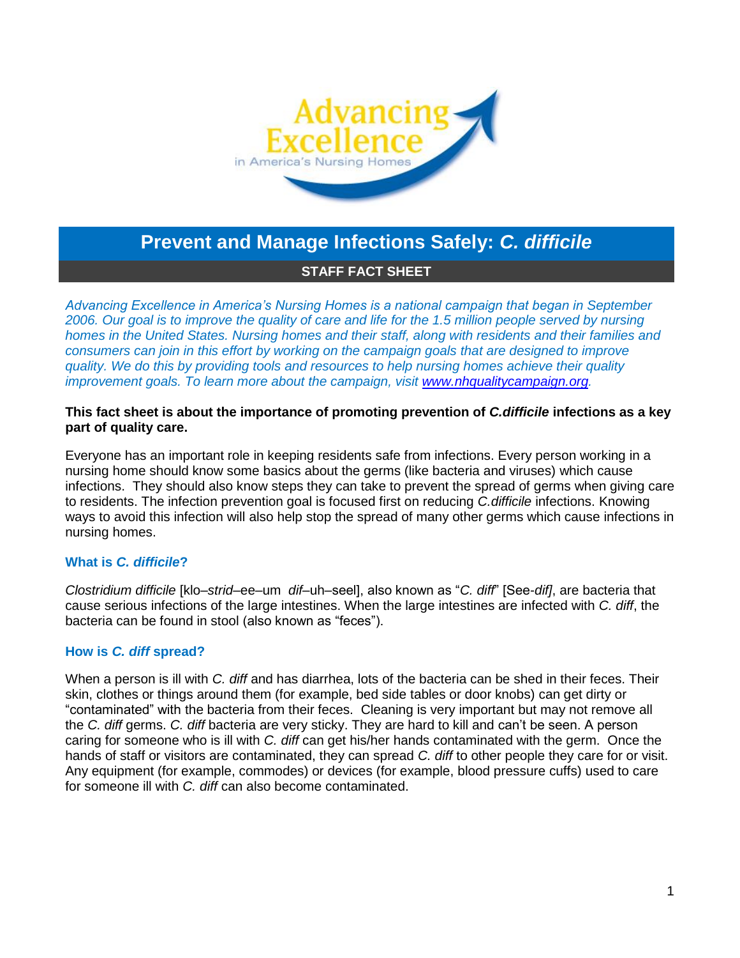

# **Prevent and Manage Infections Safely:** *C. difficile*

## **STAFF FACT SHEET**

*Advancing Excellence in America's Nursing Homes is a national campaign that began in September 2006. Our goal is to improve the quality of care and life for the 1.5 million people served by nursing homes in the United States. Nursing homes and their staff, along with residents and their families and consumers can join in this effort by working on the campaign goals that are designed to improve quality. We do this by providing tools and resources to help nursing homes achieve their quality improvement goals. To learn more about the campaign, visit [www.nhqualitycampaign.org.](file://coqnfp01/data/deptdata/SNF%20Advancing%20Excellence%20-%2010th%20SOW/Website/Campaign%20updates/My%20Documents/for%20Rachel%20-%20AE%20docs/Fact%20Sheets/www.nhqualitycampaign.org)*

## **This fact sheet is about the importance of promoting prevention of** *C.difficile* **infections as a key part of quality care.**

Everyone has an important role in keeping residents safe from infections. Every person working in a nursing home should know some basics about the germs (like bacteria and viruses) which cause infections. They should also know steps they can take to prevent the spread of germs when giving care to residents. The infection prevention goal is focused first on reducing *C.difficile* infections. Knowing ways to avoid this infection will also help stop the spread of many other germs which cause infections in nursing homes.

# **What is** *C. difficile***?**

*Clostridium difficile* [klo–*strid*–ee–um *dif*–uh–seel], also known as "*C. diff*" [See-*dif]*, are bacteria that cause serious infections of the large intestines. When the large intestines are infected with *C. diff*, the bacteria can be found in stool (also known as "feces").

## **How is** *C. diff* **spread?**

When a person is ill with *C. diff* and has diarrhea, lots of the bacteria can be shed in their feces. Their skin, clothes or things around them (for example, bed side tables or door knobs) can get dirty or "contaminated" with the bacteria from their feces. Cleaning is very important but may not remove all the *C. diff* germs. *C. diff* bacteria are very sticky. They are hard to kill and can't be seen. A person caring for someone who is ill with *C. diff* can get his/her hands contaminated with the germ. Once the hands of staff or visitors are contaminated, they can spread *C. diff* to other people they care for or visit. Any equipment (for example, commodes) or devices (for example, blood pressure cuffs) used to care for someone ill with *C. diff* can also become contaminated.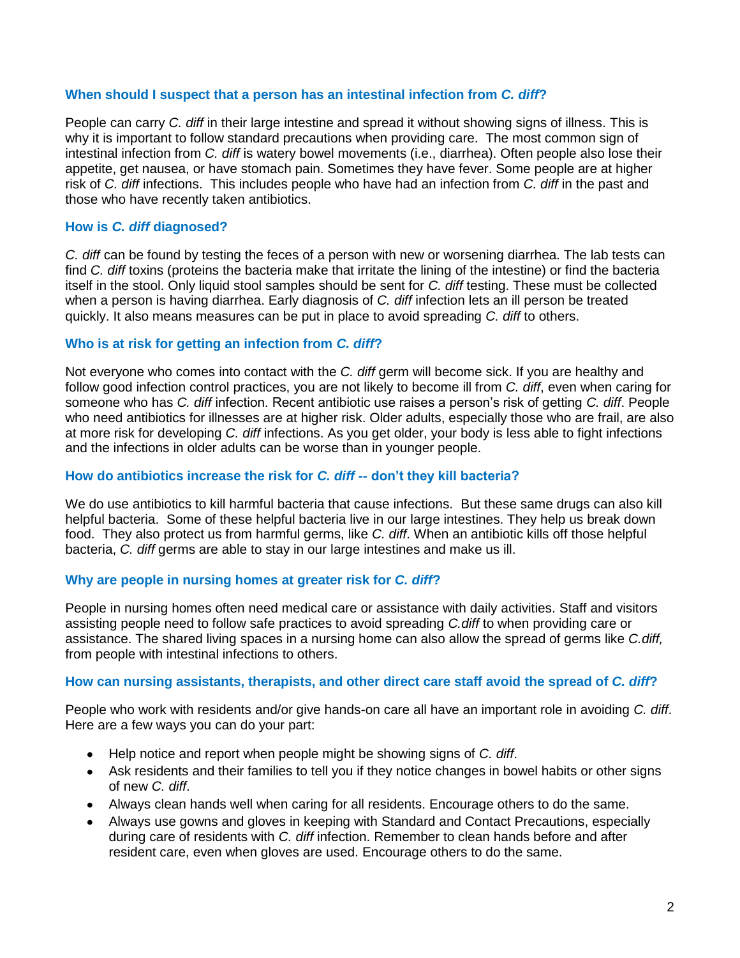## **When should I suspect that a person has an intestinal infection from** *C. diff***?**

People can carry *C. diff* in their large intestine and spread it without showing signs of illness. This is why it is important to follow standard precautions when providing care. The most common sign of intestinal infection from *C. diff* is watery bowel movements (i.e., diarrhea). Often people also lose their appetite, get nausea, or have stomach pain. Sometimes they have fever. Some people are at higher risk of *C. diff* infections. This includes people who have had an infection from *C. diff* in the past and those who have recently taken antibiotics.

## **How is** *C. diff* **diagnosed?**

*C. diff* can be found by testing the feces of a person with new or worsening diarrhea. The lab tests can find *C. diff* toxins (proteins the bacteria make that irritate the lining of the intestine) or find the bacteria itself in the stool. Only liquid stool samples should be sent for *C. diff* testing. These must be collected when a person is having diarrhea. Early diagnosis of *C. diff* infection lets an ill person be treated quickly. It also means measures can be put in place to avoid spreading *C. diff* to others.

## **Who is at risk for getting an infection from** *C. diff***?**

Not everyone who comes into contact with the *C. diff* germ will become sick. If you are healthy and follow good infection control practices, you are not likely to become ill from *C. diff*, even when caring for someone who has *C. diff* infection. Recent antibiotic use raises a person's risk of getting *C. diff*. People who need antibiotics for illnesses are at higher risk. Older adults, especially those who are frail, are also at more risk for developing *C. diff* infections. As you get older, your body is less able to fight infections and the infections in older adults can be worse than in younger people.

#### **How do antibiotics increase the risk for** *C. diff* **-- don't they kill bacteria?**

We do use antibiotics to kill harmful bacteria that cause infections. But these same drugs can also kill helpful bacteria. Some of these helpful bacteria live in our large intestines. They help us break down food. They also protect us from harmful germs, like *C. diff*. When an antibiotic kills off those helpful bacteria, *C. diff* germs are able to stay in our large intestines and make us ill.

## **Why are people in nursing homes at greater risk for** *C. diff***?**

People in nursing homes often need medical care or assistance with daily activities. Staff and visitors assisting people need to follow safe practices to avoid spreading *C.diff* to when providing care or assistance. The shared living spaces in a nursing home can also allow the spread of germs like *C.diff,*  from people with intestinal infections to others.

## **How can nursing assistants, therapists, and other direct care staff avoid the spread of** *C. diff***?**

People who work with residents and/or give hands-on care all have an important role in avoiding *C. diff*. Here are a few ways you can do your part:

- Help notice and report when people might be showing signs of *C. diff*.
- Ask residents and their families to tell you if they notice changes in bowel habits or other signs of new *C. diff*.
- Always clean hands well when caring for all residents. Encourage others to do the same.
- Always use gowns and gloves in keeping with Standard and Contact Precautions, especially during care of residents with *C. diff* infection. Remember to clean hands before and after resident care, even when gloves are used. Encourage others to do the same.